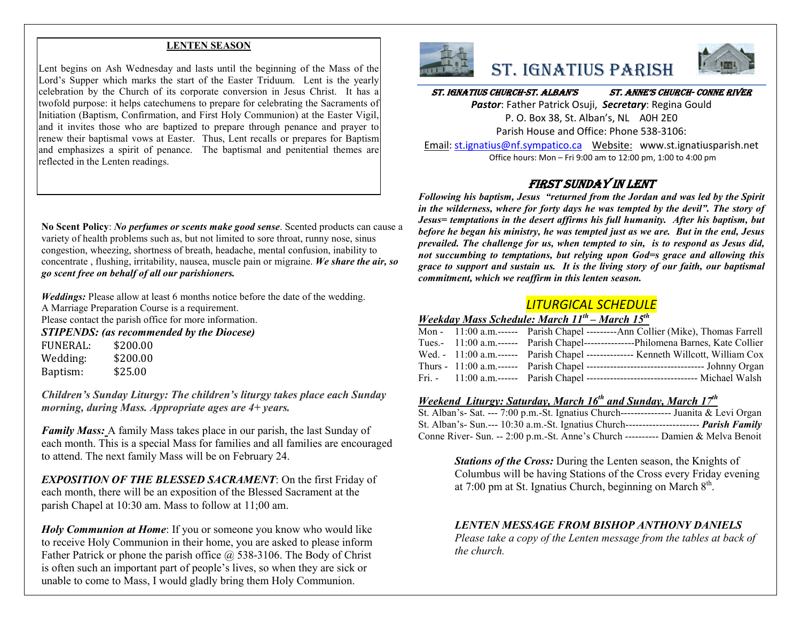#### **LENTEN SEASON**

Lent begins on Ash Wednesday and lasts until the beginning of the Mass of the Lord's Supper which marks the start of the Easter Triduum. Lent is the yearly celebration by the Church of its corporate conversion in Jesus Christ. It has a twofold purpose: it helps catechumens to prepare for celebrating the Sacraments of Initiation (Baptism, Confirmation, and First Holy Communion) at the Easter Vigil, and it invites those who are baptized to prepare through penance and prayer to renew their baptismal vows at Easter. Thus, Lent recalls or prepares for Baptism and emphasizes a spirit of penance. The baptismal and penitential themes are reflected in the Lenten readings.

**No Scent Policy**: *No perfumes or scents make good sense*. Scented products can cause a variety of health problems such as, but not limited to sore throat, runny nose, sinus congestion, wheezing, shortness of breath, headache, mental confusion, inability to concentrate , flushing, irritability, nausea, muscle pain or migraine. *We share the air, so go scent free on behalf of all our parishioners.*

*Weddings:* Please allow at least 6 months notice before the date of the wedding. A Marriage Preparation Course is a requirement. Please contact the parish office for more information.

*STIPENDS: (as recommended by the Diocese)*

FUNERAL: \$200.00 Wedding: \$200.00 Baptism: \$25.00

*Children's Sunday Liturgy: The children's liturgy takes place each Sunday morning, during Mass. Appropriate ages are 4+ years.* 

*Family Mass:* A family Mass takes place in our parish, the last Sunday of each month. This is a special Mass for families and all families are encouraged to attend. The next family Mass will be on February 24.

*EXPOSITION OF THE BLESSED SACRAMENT*: On the first Friday of each month, there will be an exposition of the Blessed Sacrament at the parish Chapel at 10:30 am. Mass to follow at 11;00 am.

*Holy Communion at Home*: If you or someone you know who would like to receive Holy Communion in their home, you are asked to please inform Father Patrick or phone the parish office @ 538-3106. The Body of Christ is often such an important part of people's lives, so when they are sick or unable to come to Mass, I would gladly bring them Holy Communion.



## St. IgnatIuS ParISh



St. IgnatIuS ChurCh-St. alban'S St. anne'S ChurCh- Conne rIver

*Pastor*: Father Patrick Osuji, *Secretary*: Regina Gould P. O. Box 38, St. Alban's, NL A0H 2E0 Parish House and Office: Phone 538-3106:

Email: st.ignatius@nf.sympatico.ca Website: www.st.ignatiusparish.net Office hours: Mon – Fri 9:00 am to 12:00 pm, 1:00 to 4:00 pm

### FIrSt Sunday In lent

*Following his baptism, Jesus "returned from the Jordan and was led by the Spirit in the wilderness, where for forty days he was tempted by the devil". The story of Jesus= temptations in the desert affirms his full humanity. After his baptism, but before he began his ministry, he was tempted just as we are. But in the end, Jesus prevailed. The challenge for us, when tempted to sin, is to respond as Jesus did, not succumbing to temptations, but relying upon God=s grace and allowing this grace to support and sustain us. It is the living story of our faith, our baptismal commitment, which we reaffirm in this lenten season.*

## *LITURGICAL SCHEDULE*

### *Weekday Mass Schedule: March 11th – March 15th*

|  | Mon - 11:00 a.m.------ Parish Chapel ---------Ann Collier (Mike), Thomas Farrell        |
|--|-----------------------------------------------------------------------------------------|
|  | Tues.- 11:00 a.m.------ Parish Chapel----------------Philomena Barnes, Kate Collier     |
|  | Wed. - 11:00 a.m.------ Parish Chapel -------------- Kenneth Willcott, William Cox      |
|  |                                                                                         |
|  | Fri. - 11:00 a.m. ------ Parish Chapel ---------------------------------- Michael Walsh |

#### *Weekend Liturgy: Saturday, March 16th and Sunday, March 17th*

| St. Alban's- Sat. --- 7:00 p.m.-St. Ignatius Church---------------- Juanita & Levi Organ        |  |
|-------------------------------------------------------------------------------------------------|--|
| St. Alban's- Sun.--- 10:30 a.m.-St. Ignatius Church----------------------- <i>Parish Family</i> |  |
| Conne River- Sun. -- 2:00 p.m.-St. Anne's Church ---------- Damien & Melva Benoit               |  |

*Stations of the Cross:* During the Lenten season, the Knights of Columbus will be having Stations of the Cross every Friday evening at 7:00 pm at St. Ignatius Church, beginning on March  $8<sup>th</sup>$ .

#### *LENTEN MESSAGE FROM BISHOP ANTHONY DANIELS*

*Please take a copy of the Lenten message from the tables at back of the church.*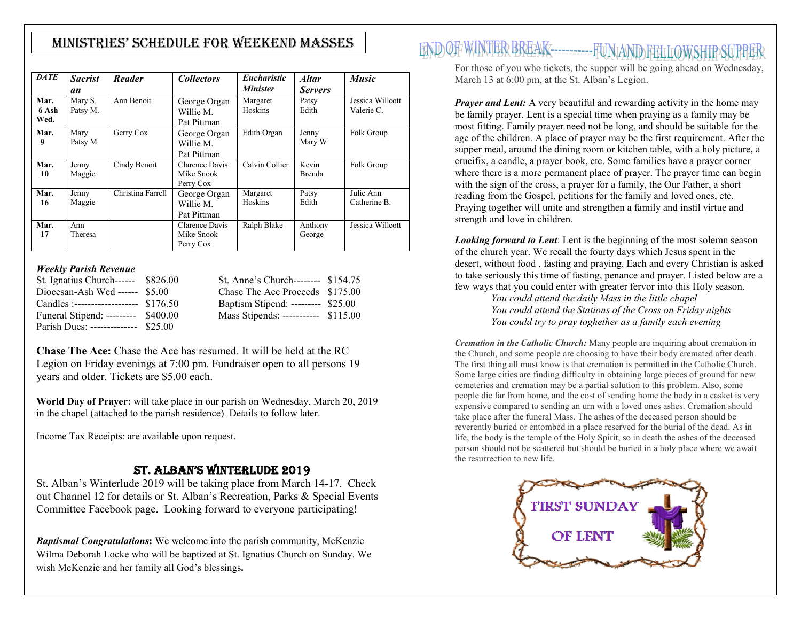## MInIStrIeS' Schedule for Weekend MaSSeS

| <b>DATE</b>           | <b>Sacrist</b><br>an | Reader            | <b>Collectors</b>                         | <i>Eucharistic</i><br><b>Minister</b> | <b>Altar</b><br><b>Servers</b> | <b>Music</b>                   |
|-----------------------|----------------------|-------------------|-------------------------------------------|---------------------------------------|--------------------------------|--------------------------------|
| Mar.<br>6 Ash<br>Wed. | Mary S.<br>Patsy M.  | Ann Benoit        | George Organ<br>Willie M.<br>Pat Pittman  | Margaret<br>Hoskins                   | Patsy<br>Edith                 | Jessica Willcott<br>Valerie C. |
| Mar.<br>9             | Mary<br>Patsy M      | Gerry Cox         | George Organ<br>Willie M.<br>Pat Pittman  | Edith Organ                           | Jenny<br>Mary W                | Folk Group                     |
| Mar.<br>10            | Jenny<br>Maggie      | Cindy Benoit      | Clarence Davis<br>Mike Snook<br>Perry Cox | Calvin Collier                        | Kevin<br><b>Brenda</b>         | Folk Group                     |
| Mar.<br>16            | Jenny<br>Maggie      | Christina Farrell | George Organ<br>Willie M.<br>Pat Pittman  | Margaret<br>Hoskins                   | Patsy<br>Edith                 | Julie Ann<br>Catherine B.      |
| Mar.<br>17            | Ann<br>Theresa       |                   | Clarence Davis<br>Mike Snook<br>Perry Cox | Ralph Blake                           | Anthony<br>George              | Jessica Willcott               |

#### *Weekly Parish Revenue*

| St. Ignatius Church------ \$826.00    | St. Anne's Church-------- \$154.75  |  |
|---------------------------------------|-------------------------------------|--|
| Diocesan-Ash Wed ------ $$5.00$       | Chase The Ace Proceeds \$175.00     |  |
| Candles :------------------- \$176.50 | Baptism Stipend: --------- \$25.00  |  |
| Funeral Stipend: --------- \$400.00   | Mass Stipends: ----------- \$115.00 |  |
| Parish Dues: -------------- \$25.00   |                                     |  |

**Chase The Ace:** Chase the Ace has resumed. It will be held at the RC Legion on Friday evenings at 7:00 pm. Fundraiser open to all persons 19 years and older. Tickets are \$5.00 each.

**World Day of Prayer:** will take place in our parish on Wednesday, March 20, 2019 in the chapel (attached to the parish residence) Details to follow later.

Income Tax Receipts: are available upon request.

#### ST. ALBAN'S WINTERLUDE 2019

St. Alban's Winterlude 2019 will be taking place from March 14-17. Check out Channel 12 for details or St. Alban's Recreation, Parks & Special Events Committee Facebook page. Looking forward to everyone participating!

*Baptismal Congratulations***:** We welcome into the parish community, McKenzie Wilma Deborah Locke who will be baptized at St. Ignatius Church on Sunday. We wish McKenzie and her family all God's blessings**.**

# END OF WINTER BREAK------------ FUNAND FELLOWSHIP

For those of you who tickets, the supper will be going ahead on Wednesday, March 13 at 6:00 pm, at the St. Alban's Legion.

*Prayer and Lent:* A very beautiful and rewarding activity in the home may be family prayer. Lent is a special time when praying as a family may be most fitting. Family prayer need not be long, and should be suitable for the age of the children. A place of prayer may be the first requirement. After the supper meal, around the dining room or kitchen table, with a holy picture, a crucifix, a candle, a prayer book, etc. Some families have a prayer corner where there is a more permanent place of prayer. The prayer time can begin with the sign of the cross, a prayer for a family, the Our Father, a short reading from the Gospel, petitions for the family and loved ones, etc. Praying together will unite and strengthen a family and instil virtue and strength and love in children.

*Looking forward to Lent*: Lent is the beginning of the most solemn season of the church year. We recall the fourty days which Jesus spent in the desert, witho[ut food , fasting and praying. Each and every Chr](http://www.google.ca/url?sa=i&rct=j&q=&esrc=s&source=images&cd=&cad=rja&uact=8&ved=0ahUKEwi5haWWx7rSAhXH1IMKHaC7Df4QjRwIBw&url=http://www.oslc.on.ca/&psig=AFQjCNFt0bqxv5SWX_D6R6lDFvklr5xuFQ&ust=1488638065904106)istian is asked to take seriously this time of fasting, penance and prayer. Listed below are a few ways that you could enter with greater fervor into this Holy season.

*You could attend the daily Mass in the little chapel You could attend the Stations of the Cross on Friday nights You could try to pray toghether as a family each evening*

*Cremation in the Catholic Church:* Many people are inquiring about cremation in the Church, and some people are choosing to have their body cremated after death. The first thing all must know is that cremation is permitted in the Catholic Church. Some large cities are finding difficulty in obtaining large pieces of ground for new cemeteries and cremation may be a partial solution to this problem. Also, some people die far from home, and the cost of sending home the body in a casket is very expensive compared to sending an urn with a loved ones ashes. Cremation should take place after the funeral Mass. The ashes of the deceased person should be reverently buried or entombed in a place reserved for the burial of the dead. As in life, the body is the temple of the Holy Spirit, so in death the ashes of the deceased person should not be scattered but should be buried in a holy place where we await the resurrection to new life.